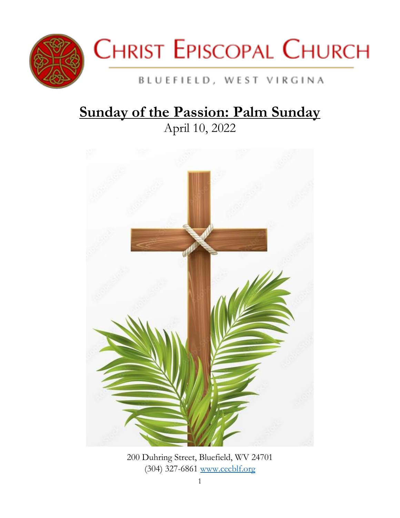



# BLUEFIELD, WEST VIRGINA

# **Sunday of the Passion: Palm Sunday**

April 10, 2022



200 Duhring Street, Bluefield, WV 24701 (304) 327-6861 [www.cecblf.org](http://www.cecblf.org/)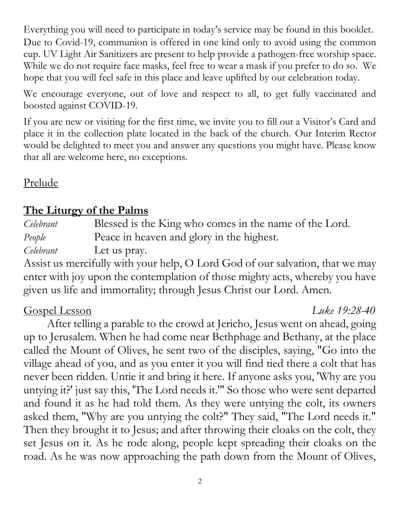Everything you will need to participate in today's service may be found in this booklet. Due to Covid-19, communion is offered in one kind only to avoid using the common cup. UV Light Air Sanitizers are present to help provide a pathogen-free worship space. While we do not require face masks, feel free to wear a mask if you prefer to do so. We hope that you will feel safe in this place and leave uplifted by our celebration today.

We encourage everyone, out of love and respect to all, to get fully vaccinated and boosted against COVID-19.

If you are new or visiting for the first time, we invite you to fill out a Visitor's Card and place it in the collection plate located in the back of the church. Our Interim Rector would be delighted to meet you and answer any questions you might have. Please know that all are welcome here, no exceptions.

Prelude

# **The Liturgy of the Palms**

*Celebrant* Blessed is the King who comes in the name of the Lord. *People* Peace in heaven and glory in the highest.

*Celebrant* Let us pray.

Assist us mercifully with your help, O Lord God of our salvation, that we may enter with joy upon the contemplation of those mighty acts, whereby you have given us life and immortality; through Jesus Christ our Lord. Amen.

# Gospel Lesson *Luke 19:28-40*

After telling a parable to the crowd at Jericho, Jesus went on ahead, going up to Jerusalem. When he had come near Bethphage and Bethany, at the place called the Mount of Olives, he sent two of the disciples, saying, "Go into the village ahead of you, and as you enter it you will find tied there a colt that has never been ridden. Untie it and bring it here. If anyone asks you, 'Why are you untying it?' just say this, 'The Lord needs it.'" So those who were sent departed and found it as he had told them. As they were untying the colt, its owners asked them, "Why are you untying the colt?" They said, "The Lord needs it." Then they brought it to Jesus; and after throwing their cloaks on the colt, they set Jesus on it. As he rode along, people kept spreading their cloaks on the road. As he was now approaching the path down from the Mount of Olives,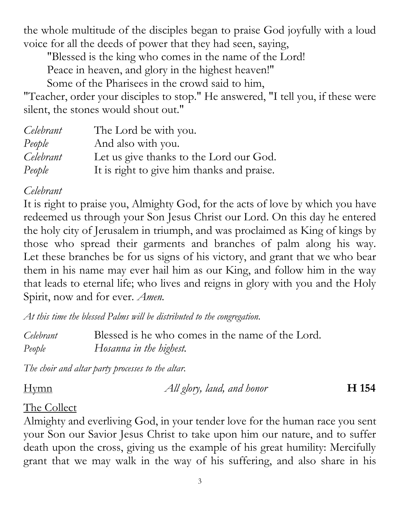the whole multitude of the disciples began to praise God joyfully with a loud voice for all the deeds of power that they had seen, saying,

"Blessed is the king who comes in the name of the Lord!

Peace in heaven, and glory in the highest heaven!"

Some of the Pharisees in the crowd said to him,

"Teacher, order your disciples to stop." He answered, "I tell you, if these were silent, the stones would shout out."

| Celebrant | The Lord be with you.                      |
|-----------|--------------------------------------------|
| People    | And also with you.                         |
| Celebrant | Let us give thanks to the Lord our God.    |
| People    | It is right to give him thanks and praise. |

# *Celebrant*

It is right to praise you, Almighty God, for the acts of love by which you have redeemed us through your Son Jesus Christ our Lord. On this day he entered the holy city of Jerusalem in triumph, and was proclaimed as King of kings by those who spread their garments and branches of palm along his way. Let these branches be for us signs of his victory, and grant that we who bear them in his name may ever hail him as our King, and follow him in the way that leads to eternal life; who lives and reigns in glory with you and the Holy Spirit, now and for ever. *Amen.*

*At this time the blessed Palms will be distributed to the congregation.*

*Celebrant* Blessed is he who comes in the name of the Lord. *People Hosanna in the highest.*

*The choir and altar party processes to the altar.*

Hymn *All glory, laud, and honor* **H 154**

# The Collect

Almighty and everliving God, in your tender love for the human race you sent your Son our Savior Jesus Christ to take upon him our nature, and to suffer death upon the cross, giving us the example of his great humility: Mercifully grant that we may walk in the way of his suffering, and also share in his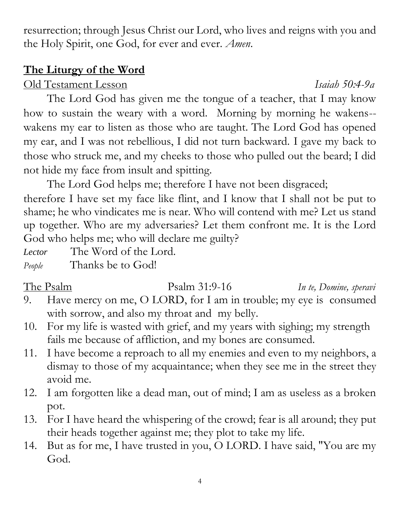4

resurrection; through Jesus Christ our Lord, who lives and reigns with you and the Holy Spirit, one God, for ever and ever. *Amen*.

# **The Liturgy of the Word**

Old Testament Lesson *Isaiah 50:4-9a*

The Lord God has given me the tongue of a teacher, that I may know how to sustain the weary with a word. Morning by morning he wakens- wakens my ear to listen as those who are taught. The Lord God has opened my ear, and I was not rebellious, I did not turn backward. I gave my back to those who struck me, and my cheeks to those who pulled out the beard; I did not hide my face from insult and spitting.

The Lord God helps me; therefore I have not been disgraced;

therefore I have set my face like flint, and I know that I shall not be put to shame; he who vindicates me is near. Who will contend with me? Let us stand up together. Who are my adversaries? Let them confront me. It is the Lord God who helps me; who will declare me guilty?

*Lector* The Word of the Lord.

*People* Thanks be to God!

- 9. Have mercy on me, O LORD, for I am in trouble; my eye is consumed with sorrow, and also my throat and my belly.
- 10. For my life is wasted with grief, and my years with sighing; my strength fails me because of affliction, and my bones are consumed.
- 11. I have become a reproach to all my enemies and even to my neighbors, a dismay to those of my acquaintance; when they see me in the street they avoid me.
- 12. I am forgotten like a dead man, out of mind; I am as useless as a broken pot.
- 13. For I have heard the whispering of the crowd; fear is all around; they put their heads together against me; they plot to take my life.
- 14. But as for me, I have trusted in you, O LORD. I have said, "You are my God.

The PsalmPsalm 31:9-16 *In te, Domine, speravi*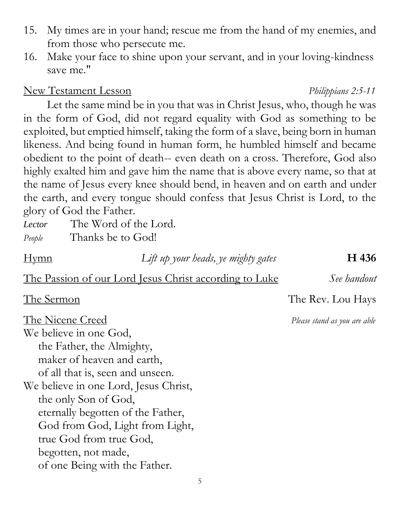5

- 15. My times are in your hand; rescue me from the hand of my enemies, and from those who persecute me.
- 16. Make your face to shine upon your servant, and in your loving-kindness save me."

# New Testament Lesson *Philippians 2:5-11*

Let the same mind be in you that was in Christ Jesus, who, though he was in the form of God, did not regard equality with God as something to be exploited, but emptied himself, taking the form of a slave, being born in human likeness. And being found in human form, he humbled himself and became obedient to the point of death-- even death on a cross. Therefore, God also highly exalted him and gave him the name that is above every name, so that at the name of Jesus every knee should bend, in heaven and on earth and under the earth, and every tongue should confess that Jesus Christ is Lord, to the glory of God the Father.

| Lector | The Word of the Lord. |
|--------|-----------------------|
| People | Thanks be to God!     |
|        |                       |

Hymn *Lift up your heads, ye mighty gates* **H 436**

The Passion of our Lord Jesus Christ according to Luke *See handout*

The Nicene Creed *Please stand as you are able*  We believe in one God, the Father, the Almighty, maker of heaven and earth, of all that is, seen and unseen. We believe in one Lord, Jesus Christ, the only Son of God, eternally begotten of the Father, God from God, Light from Light, true God from true God, begotten, not made, of one Being with the Father.

The Sermon The Rev. Lou Hays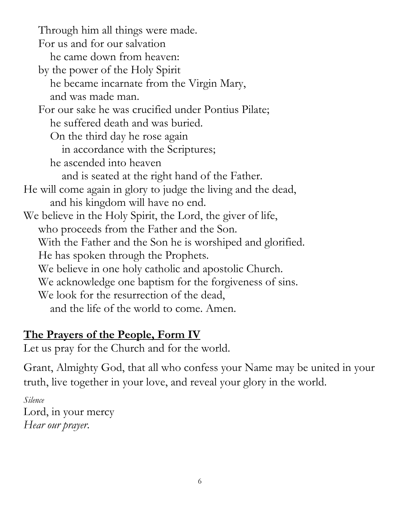Through him all things were made. For us and for our salvation he came down from heaven: by the power of the Holy Spirit he became incarnate from the Virgin Mary, and was made man. For our sake he was crucified under Pontius Pilate; he suffered death and was buried. On the third day he rose again in accordance with the Scriptures; he ascended into heaven and is seated at the right hand of the Father. He will come again in glory to judge the living and the dead, and his kingdom will have no end. We believe in the Holy Spirit, the Lord, the giver of life, who proceeds from the Father and the Son. With the Father and the Son he is worshiped and glorified. He has spoken through the Prophets. We believe in one holy catholic and apostolic Church. We acknowledge one baptism for the forgiveness of sins. We look for the resurrection of the dead, and the life of the world to come. Amen.

# **The Prayers of the People, Form IV**

Let us pray for the Church and for the world.

Grant, Almighty God, that all who confess your Name may be united in your truth, live together in your love, and reveal your glory in the world.

*Silence* Lord, in your mercy *Hear our prayer*.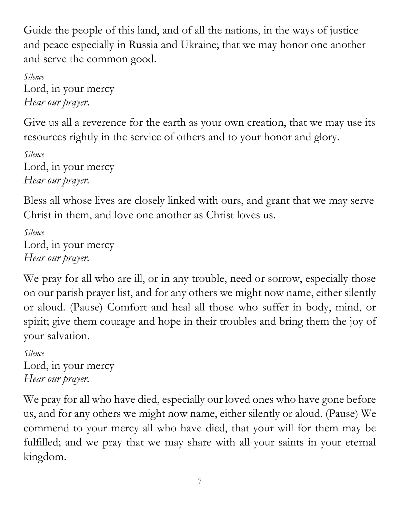Guide the people of this land, and of all the nations, in the ways of justice and peace especially in Russia and Ukraine; that we may honor one another and serve the common good.

*Silence* Lord, in your mercy *Hear our prayer*.

Give us all a reverence for the earth as your own creation, that we may use its resources rightly in the service of others and to your honor and glory.

*Silence* Lord, in your mercy *Hear our prayer.*

Bless all whose lives are closely linked with ours, and grant that we may serve Christ in them, and love one another as Christ loves us.

*Silence* Lord, in your mercy *Hear our prayer.*

We pray for all who are ill, or in any trouble, need or sorrow, especially those on our parish prayer list, and for any others we might now name, either silently or aloud. (Pause) Comfort and heal all those who suffer in body, mind, or spirit; give them courage and hope in their troubles and bring them the joy of your salvation.

*Silence* Lord, in your mercy *Hear our prayer.*

We pray for all who have died, especially our loved ones who have gone before us, and for any others we might now name, either silently or aloud. (Pause) We commend to your mercy all who have died, that your will for them may be fulfilled; and we pray that we may share with all your saints in your eternal kingdom.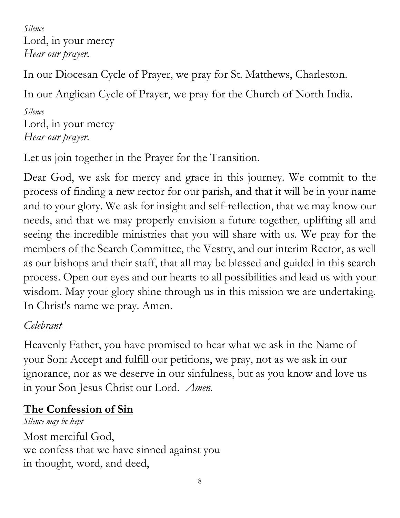*Silence* Lord, in your mercy *Hear our prayer.*

In our Diocesan Cycle of Prayer, we pray for St. Matthews, Charleston.

In our Anglican Cycle of Prayer, we pray for the Church of North India.

*Silence* Lord, in your mercy *Hear our prayer.*

Let us join together in the Prayer for the Transition.

Dear God, we ask for mercy and grace in this journey. We commit to the process of finding a new rector for our parish, and that it will be in your name and to your glory. We ask for insight and self-reflection, that we may know our needs, and that we may properly envision a future together, uplifting all and seeing the incredible ministries that you will share with us. We pray for the members of the Search Committee, the Vestry, and our interim Rector, as well as our bishops and their staff, that all may be blessed and guided in this search process. Open our eyes and our hearts to all possibilities and lead us with your wisdom. May your glory shine through us in this mission we are undertaking. In Christ's name we pray. Amen.

# *Celebrant*

Heavenly Father, you have promised to hear what we ask in the Name of your Son: Accept and fulfill our petitions, we pray, not as we ask in our ignorance, nor as we deserve in our sinfulness, but as you know and love us in your Son Jesus Christ our Lord. *Amen.*

# **The Confession of Sin**

*Silence may be kept* Most merciful God, we confess that we have sinned against you in thought, word, and deed,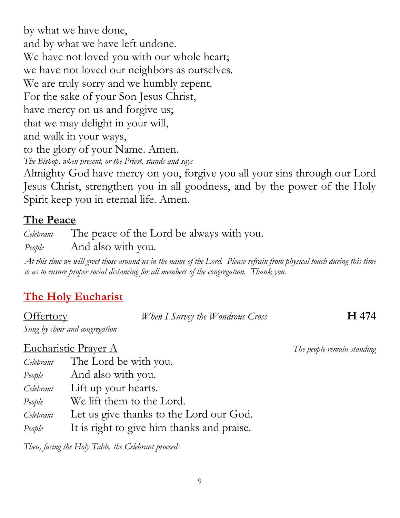by what we have done, and by what we have left undone. We have not loved you with our whole heart; we have not loved our neighbors as ourselves. We are truly sorry and we humbly repent. For the sake of your Son Jesus Christ, have mercy on us and forgive us; that we may delight in your will, and walk in your ways, to the glory of your Name. Amen. *The Bishop, when present, or the Priest, stands and says*

Almighty God have mercy on you, forgive you all your sins through our Lord Jesus Christ, strengthen you in all goodness, and by the power of the Holy Spirit keep you in eternal life. Amen.

# **The Peace**

*Celebrant* The peace of the Lord be always with you. *People* And also with you.

*At this time we will greet those around us in the name of the Lord. Please refrain from physical touch during this time so as to ensure proper social distancing for all members of the congregation. Thank you.* 

# **The Holy Eucharist**

| <b>Offertory</b>               | When I Survey the Wondrous Cross | H 474 |
|--------------------------------|----------------------------------|-------|
| Sung by choir and congregation |                                  |       |

#### Eucharistic Prayer A *The people remain standing*

*Celebrant* The Lord be with you.

*People* And also with you.

*Celebrant* Lift up your hearts.

*People* We lift them to the Lord.

*Celebrant* Let us give thanks to the Lord our God.

*People* It is right to give him thanks and praise.

*Then, facing the Holy Table, the Celebrant proceeds*

9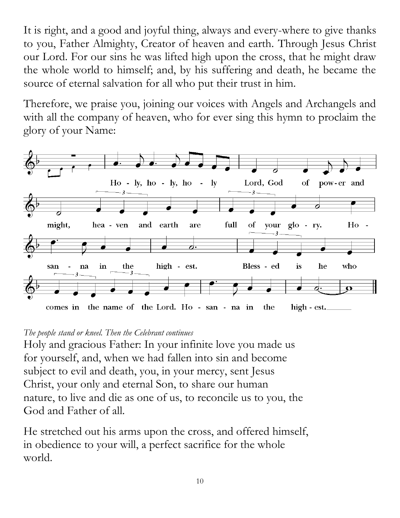It is right, and a good and joyful thing, always and every-where to give thanks to you, Father Almighty, Creator of heaven and earth. Through Jesus Christ our Lord. For our sins he was lifted high upon the cross, that he might draw the whole world to himself; and, by his suffering and death, he became the source of eternal salvation for all who put their trust in him.

Therefore, we praise you, joining our voices with Angels and Archangels and with all the company of heaven, who for ever sing this hymn to proclaim the glory of your Name:



#### *The people stand or kneel. Then the Celebrant continues*

Holy and gracious Father: In your infinite love you made us for yourself, and, when we had fallen into sin and become subject to evil and death, you, in your mercy, sent Jesus Christ, your only and eternal Son, to share our human nature, to live and die as one of us, to reconcile us to you, the God and Father of all.

He stretched out his arms upon the cross, and offered himself, in obedience to your will, a perfect sacrifice for the whole world.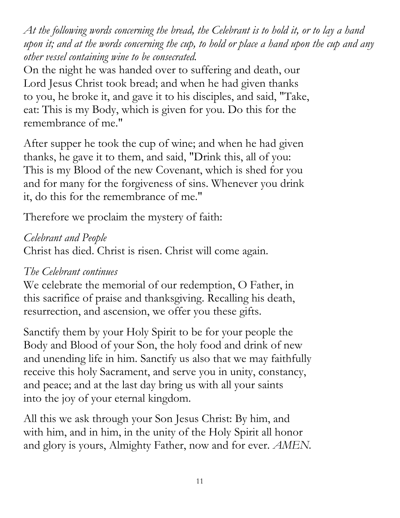*At the following words concerning the bread, the Celebrant is to hold it, or to lay a hand upon it; and at the words concerning the cup, to hold or place a hand upon the cup and any other vessel containing wine to be consecrated.*

On the night he was handed over to suffering and death, our Lord Jesus Christ took bread; and when he had given thanks to you, he broke it, and gave it to his disciples, and said, "Take, eat: This is my Body, which is given for you. Do this for the remembrance of me."

After supper he took the cup of wine; and when he had given thanks, he gave it to them, and said, "Drink this, all of you: This is my Blood of the new Covenant, which is shed for you and for many for the forgiveness of sins. Whenever you drink it, do this for the remembrance of me."

Therefore we proclaim the mystery of faith:

# *Celebrant and People*

Christ has died. Christ is risen. Christ will come again.

# *The Celebrant continues*

We celebrate the memorial of our redemption, O Father, in this sacrifice of praise and thanksgiving. Recalling his death, resurrection, and ascension, we offer you these gifts.

Sanctify them by your Holy Spirit to be for your people the Body and Blood of your Son, the holy food and drink of new and unending life in him. Sanctify us also that we may faithfully receive this holy Sacrament, and serve you in unity, constancy, and peace; and at the last day bring us with all your saints into the joy of your eternal kingdom.

All this we ask through your Son Jesus Christ: By him, and with him, and in him, in the unity of the Holy Spirit all honor and glory is yours, Almighty Father, now and for ever. *AMEN.*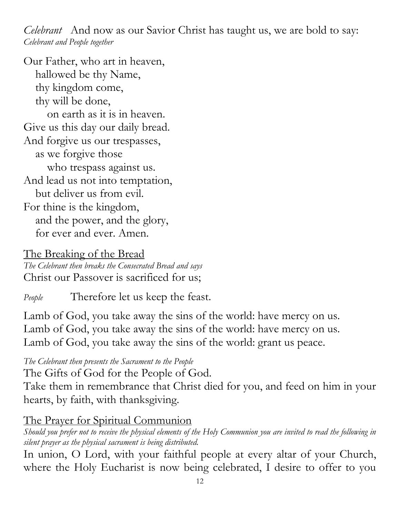*Celebrant* And now as our Savior Christ has taught us, we are bold to say: *Celebrant and People together*

Our Father, who art in heaven, hallowed be thy Name, thy kingdom come, thy will be done, on earth as it is in heaven. Give us this day our daily bread. And forgive us our trespasses, as we forgive those who trespass against us. And lead us not into temptation, but deliver us from evil. For thine is the kingdom, and the power, and the glory, for ever and ever. Amen.

# The Breaking of the Bread

*The Celebrant then breaks the Consecrated Bread and says* Christ our Passover is sacrificed for us;

*People* Therefore let us keep the feast.

Lamb of God, you take away the sins of the world: have mercy on us. Lamb of God, you take away the sins of the world: have mercy on us. Lamb of God, you take away the sins of the world: grant us peace.

*The Celebrant then presents the Sacrament to the People*

The Gifts of God for the People of God.

Take them in remembrance that Christ died for you, and feed on him in your hearts, by faith, with thanksgiving.

### The Prayer for Spiritual Communion

*Should you prefer not to receive the physical elements of the Holy Communion you are invited to read the following in silent prayer as the physical sacrament is being distributed.* 

In union, O Lord, with your faithful people at every altar of your Church, where the Holy Eucharist is now being celebrated, I desire to offer to you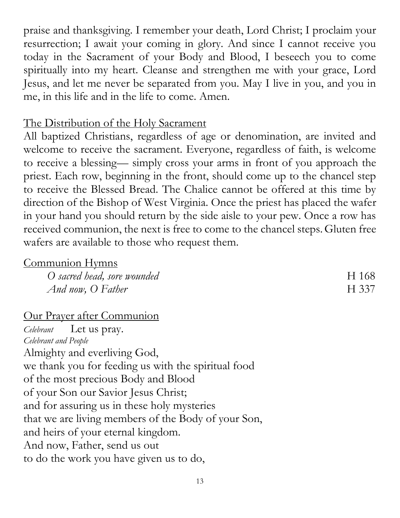praise and thanksgiving. I remember your death, Lord Christ; I proclaim your resurrection; I await your coming in glory. And since I cannot receive you today in the Sacrament of your Body and Blood, I beseech you to come spiritually into my heart. Cleanse and strengthen me with your grace, Lord Jesus, and let me never be separated from you. May I live in you, and you in me, in this life and in the life to come. Amen.

### The Distribution of the Holy Sacrament

All baptized Christians, regardless of age or denomination, are invited and welcome to receive the sacrament. Everyone, regardless of faith, is welcome to receive a blessing— simply cross your arms in front of you approach the priest. Each row, beginning in the front, should come up to the chancel step to receive the Blessed Bread. The Chalice cannot be offered at this time by direction of the Bishop of West Virginia. Once the priest has placed the wafer in your hand you should return by the side aisle to your pew. Once a row has received communion, the next is free to come to the chancel steps.Gluten free wafers are available to those who request them.

### Communion Hymns

| O sacred head, sore wounded | H 168 |
|-----------------------------|-------|
| And now, O Father           | H 337 |

#### Our Prayer after Communion

*Celebrant* Let us pray. *Celebrant and People* Almighty and everliving God, we thank you for feeding us with the spiritual food of the most precious Body and Blood of your Son our Savior Jesus Christ; and for assuring us in these holy mysteries that we are living members of the Body of your Son, and heirs of your eternal kingdom. And now, Father, send us out to do the work you have given us to do,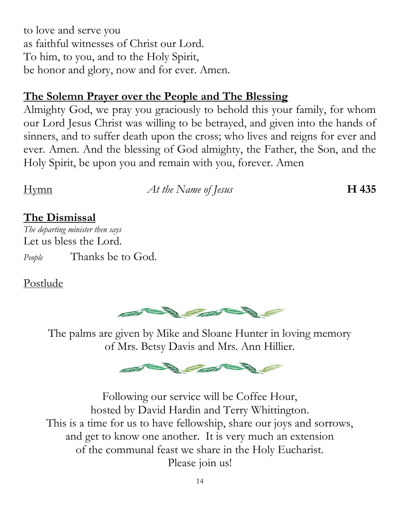to love and serve you as faithful witnesses of Christ our Lord. To him, to you, and to the Holy Spirit, be honor and glory, now and for ever. Amen.

# **The Solemn Prayer over the People and The Blessing**

Almighty God, we pray you graciously to behold this your family, for whom our Lord Jesus Christ was willing to be betrayed, and given into the hands of sinners, and to suffer death upon the cross; who lives and reigns for ever and ever. Amen. And the blessing of God almighty, the Father, the Son, and the Holy Spirit, be upon you and remain with you, forever. Amen

Hymn *At the Name of Jesus* **H 435**

# **The Dismissal**

*The departing minister then says* Let us bless the Lord. *People* Thanks be to God.

# Postlude



The palms are given by Mike and Sloane Hunter in loving memory of Mrs. Betsy Davis and Mrs. Ann Hillier.



Following our service will be Coffee Hour, hosted by David Hardin and Terry Whittington. This is a time for us to have fellowship, share our joys and sorrows, and get to know one another. It is very much an extension of the communal feast we share in the Holy Eucharist. Please join us!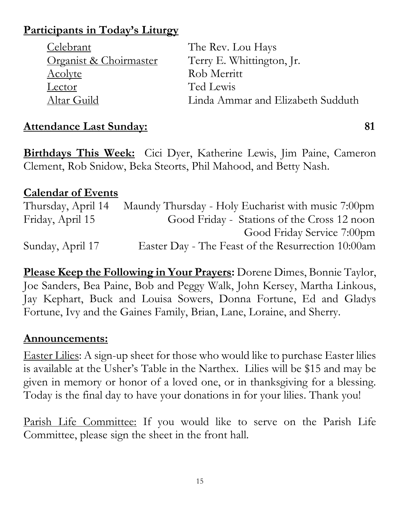# **Participants in Today's Liturgy**

| Celebrant              | The Rev. Lou Hays                 |
|------------------------|-----------------------------------|
| Organist & Choirmaster | Terry E. Whittington, Jr.         |
| <u>Acolyte</u>         | Rob Merritt                       |
| Lector                 | Ted Lewis                         |
| Altar Guild            | Linda Ammar and Elizabeth Sudduth |

# Attendance Last Sunday: 81

**Birthdays This Week:** Cici Dyer, Katherine Lewis, Jim Paine, Cameron Clement, Rob Snidow, Beka Steorts, Phil Mahood, and Betty Nash.

# **Calendar of Events**

Thursday, April 14 Maundy Thursday - Holy Eucharist with music 7:00pm Friday, April 15 Good Friday - Stations of the Cross 12 noon Good Friday Service 7:00pm Sunday, April 17 Easter Day - The Feast of the Resurrection 10:00am

**Please Keep the Following in Your Prayers:** Dorene Dimes, Bonnie Taylor, Joe Sanders, Bea Paine, Bob and Peggy Walk, John Kersey, Martha Linkous, Jay Kephart, Buck and Louisa Sowers, Donna Fortune, Ed and Gladys Fortune, Ivy and the Gaines Family, Brian, Lane, Loraine, and Sherry.

### **Announcements:**

Easter Lilies: A sign-up sheet for those who would like to purchase Easter lilies is available at the Usher's Table in the Narthex. Lilies will be \$15 and may be given in memory or honor of a loved one, or in thanksgiving for a blessing. Today is the final day to have your donations in for your lilies. Thank you!

Parish Life Committee: If you would like to serve on the Parish Life Committee, please sign the sheet in the front hall.